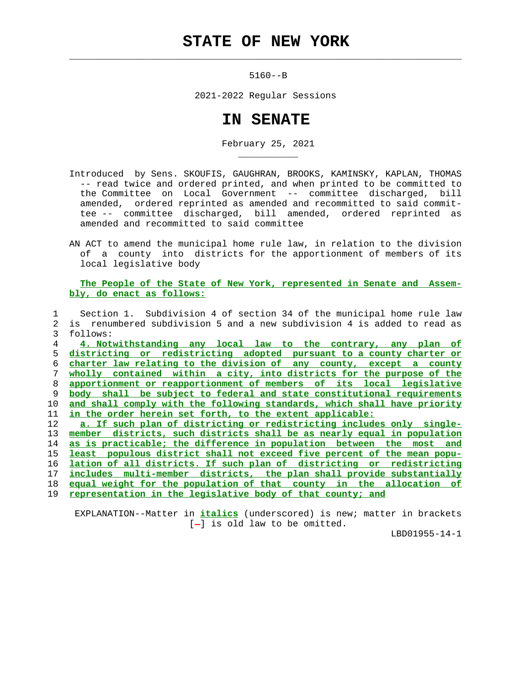## **STATE OF NEW YORK**

 $\mathcal{L}_\text{max} = \frac{1}{2} \sum_{i=1}^{n} \frac{1}{2} \sum_{i=1}^{n} \frac{1}{2} \sum_{i=1}^{n} \frac{1}{2} \sum_{i=1}^{n} \frac{1}{2} \sum_{i=1}^{n} \frac{1}{2} \sum_{i=1}^{n} \frac{1}{2} \sum_{i=1}^{n} \frac{1}{2} \sum_{i=1}^{n} \frac{1}{2} \sum_{i=1}^{n} \frac{1}{2} \sum_{i=1}^{n} \frac{1}{2} \sum_{i=1}^{n} \frac{1}{2} \sum_{i=1}^{n} \frac{1$ 

\_\_\_\_\_\_\_\_\_\_\_

5160--B

2021-2022 Regular Sessions

## **IN SENATE**

February 25, 2021

- Introduced by Sens. SKOUFIS, GAUGHRAN, BROOKS, KAMINSKY, KAPLAN, THOMAS -- read twice and ordered printed, and when printed to be committed to the Committee on Local Government -- committee discharged, bill amended, ordered reprinted as amended and recommitted to said commit tee -- committee discharged, bill amended, ordered reprinted as amended and recommitted to said committee
- AN ACT to amend the municipal home rule law, in relation to the division of a county into districts for the apportionment of members of its local legislative body

 **The People of the State of New York, represented in Senate and Assem bly, do enact as follows:**

 1 Section 1. Subdivision 4 of section 34 of the municipal home rule law 2 is renumbered subdivision 5 and a new subdivision 4 is added to read as 3 follows: **4. Notwithstanding any local law to the contrary, any plan of districting or redistricting adopted pursuant to a county charter or charter law relating to the division of any county, except a county wholly contained within a city, into districts for the purpose of the apportionment or reapportionment of members of its local legislative body shall be subject to federal and state constitutional requirements and shall comply with the following standards, which shall have priority in the order herein set forth, to the extent applicable: a. If such plan of districting or redistricting includes only single- member districts, such districts shall be as nearly equal in population as is practicable; the difference in population between the most and least populous district shall not exceed five percent of the mean popu- lation of all districts. If such plan of districting or redistricting includes multi-member districts, the plan shall provide substantially equal weight for the population of that county in the allocation of representation in the legislative body of that county; and**

 EXPLANATION--Matter in **italics** (underscored) is new; matter in brackets  $[-]$  is old law to be omitted.

LBD01955-14-1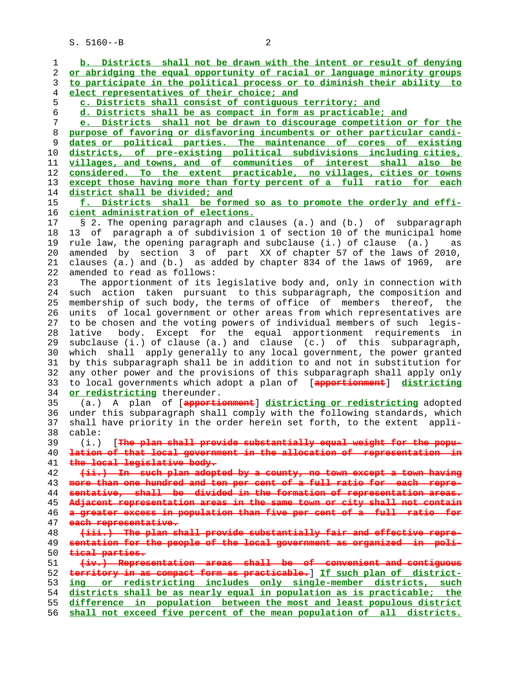S. 5160--B 2

**b. Districts shall not be drawn with the intent or result of denying or abridging the equal opportunity of racial or language minority groups to participate in the political process or to diminish their ability to elect representatives of their choice; and c. Districts shall consist of contiguous territory; and d. Districts shall be as compact in form as practicable; and e. Districts shall not be drawn to discourage competition or for the purpose of favoring or disfavoring incumbents or other particular candi- dates or political parties. The maintenance of cores of existing districts, of pre-existing political subdivisions including cities, villages, and towns, and of communities of interest shall also be considered. To the extent practicable, no villages, cities or towns except those having more than forty percent of a full ratio for each district shall be divided; and f. Districts shall be formed so as to promote the orderly and effi- cient administration of elections.** 17 § 2. The opening paragraph and clauses (a.) and (b.) of subparagraph 18 13 of paragraph a of subdivision 1 of section 10 of the municipal home 19 rule law, the opening paragraph and subclause (i.) of clause (a.) as 20 amended by section 3 of part XX of chapter 57 of the laws of 2010, 21 clauses (a.) and (b.) as added by chapter 834 of the laws of 1969, are 22 amended to read as follows: 23 The apportionment of its legislative body and, only in connection with 24 such action taken pursuant to this subparagraph, the composition and 25 membership of such body, the terms of office of members thereof, the 26 units of local government or other areas from which representatives are 27 to be chosen and the voting powers of individual members of such legis- 28 lative body. Except for the equal apportionment requirements in 29 subclause (i.) of clause (a.) and clause (c.) of this subparagraph, 30 which shall apply generally to any local government, the power granted 31 by this subparagraph shall be in addition to and not in substitution for 32 any other power and the provisions of this subparagraph shall apply only 33 to local governments which adopt a plan of [**apportionment**] **districting or redistricting** thereunder. 35 (a.) A plan of [**apportionment**] **districting or redistricting** adopted 36 under this subparagraph shall comply with the following standards, which 37 shall have priority in the order herein set forth, to the extent appli- 38 cable: 39 (i.) [**The plan shall provide substantially equal weight for the popu- lation of that local government in the allocation of representation in the local legislative body. (ii.) In such plan adopted by a county, no town except a town having more than one hundred and ten per cent of a full ratio for each repre- sentative, shall be divided in the formation of representation areas. Adjacent representation areas in the same town or city shall not contain a greater excess in population than five per cent of a full ratio for each representative. (iii.) The plan shall provide substantially fair and effective repre- sentation for the people of the local government as organized in poli- tical parties. (iv.) Representation areas shall be of convenient and contiguous territory in as compact form as practicable.**] **If such plan of district- ing or redistricting includes only single-member districts, such districts shall be as nearly equal in population as is practicable; the difference in population between the most and least populous district shall not exceed five percent of the mean population of all districts.**